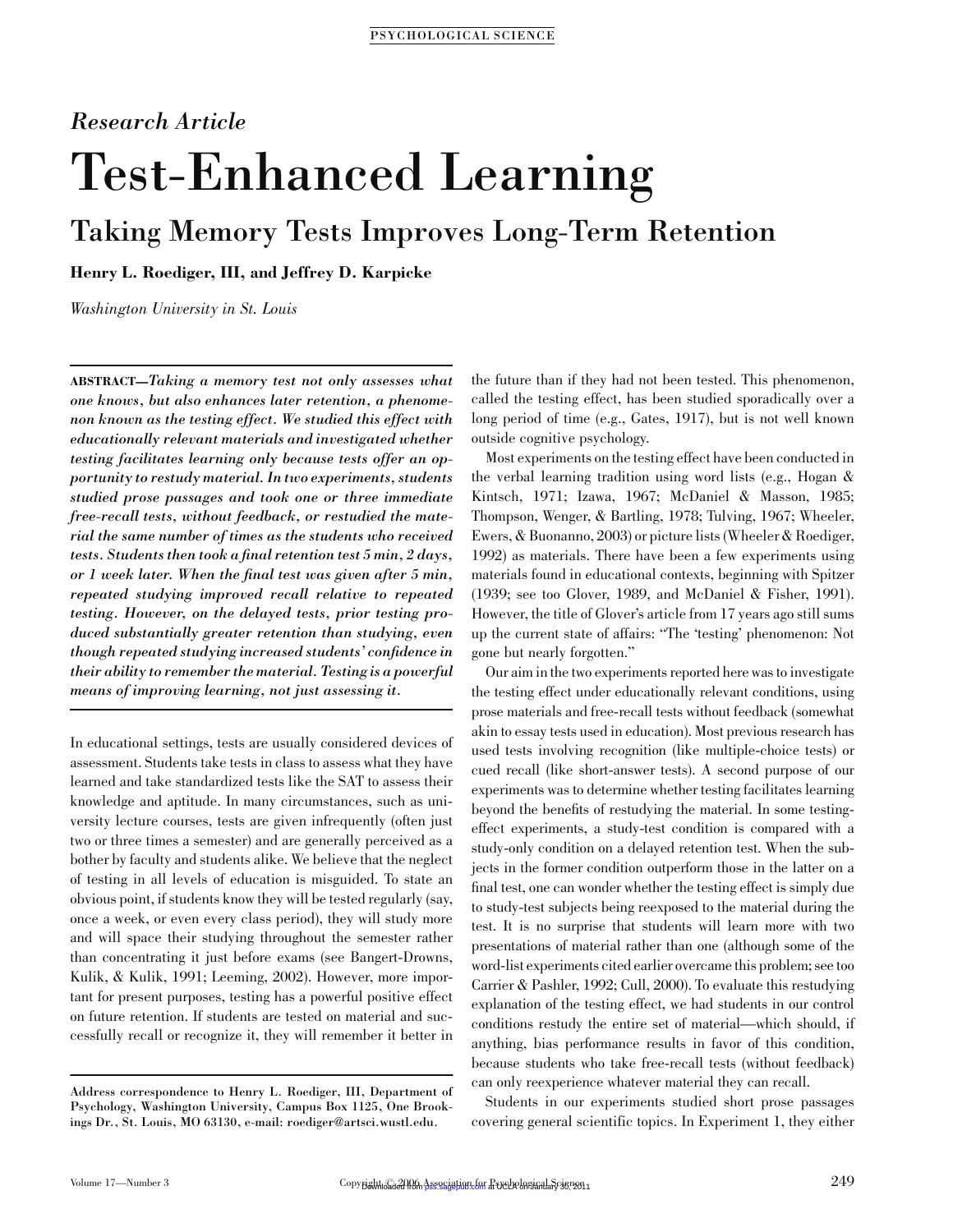# Research Article Test-Enhanced Learning

# Taking Memory Tests Improves Long-Term Retention

Henry L. Roediger, III, and Jeffrey D. Karpicke

Washington University in St. Louis

ABSTRACT—Taking a memory test not only assesses what one knows, but also enhances later retention, a phenomenon known as the testing effect. We studied this effect with educationally relevant materials and investigated whether testing facilitates learning only because tests offer an opportunity to restudy material. In two experiments, students studied prose passages and took one or three immediate free-recall tests, without feedback, or restudied the material the same number of times as the students who received tests. Students then took a final retention test 5 min, 2 days, or 1 week later. When the final test was given after 5 min, repeated studying improved recall relative to repeated testing. However, on the delayed tests, prior testing produced substantially greater retention than studying, even though repeated studying increased students' confidence in their ability to remember the material. Testing is a powerful means of improving learning, not just assessing it.

In educational settings, tests are usually considered devices of assessment. Students take tests in class to assess what they have learned and take standardized tests like the SAT to assess their knowledge and aptitude. In many circumstances, such as university lecture courses, tests are given infrequently (often just two or three times a semester) and are generally perceived as a bother by faculty and students alike. We believe that the neglect of testing in all levels of education is misguided. To state an obvious point, if students know they will be tested regularly (say, once a week, or even every class period), they will study more and will space their studying throughout the semester rather than concentrating it just before exams (see Bangert-Drowns, Kulik, & Kulik, 1991; Leeming, 2002). However, more important for present purposes, testing has a powerful positive effect on future retention. If students are tested on material and successfully recall or recognize it, they will remember it better in the future than if they had not been tested. This phenomenon, called the testing effect, has been studied sporadically over a long period of time (e.g., Gates, 1917), but is not well known outside cognitive psychology.

Most experiments on the testing effect have been conducted in the verbal learning tradition using word lists (e.g., Hogan & Kintsch, 1971; Izawa, 1967; McDaniel & Masson, 1985; Thompson, Wenger, & Bartling, 1978; Tulving, 1967; Wheeler, Ewers, & Buonanno, 2003) or picture lists (Wheeler & Roediger, 1992) as materials. There have been a few experiments using materials found in educational contexts, beginning with Spitzer (1939; see too Glover, 1989, and McDaniel & Fisher, 1991). However, the title of Glover's article from 17 years ago still sums up the current state of affairs: ''The 'testing' phenomenon: Not gone but nearly forgotten.''

Our aim in the two experiments reported here was to investigate the testing effect under educationally relevant conditions, using prose materials and free-recall tests without feedback (somewhat akin to essay tests used in education). Most previous research has used tests involving recognition (like multiple-choice tests) or cued recall (like short-answer tests). A second purpose of our experiments was to determine whether testing facilitates learning beyond the benefits of restudying the material. In some testingeffect experiments, a study-test condition is compared with a study-only condition on a delayed retention test. When the subjects in the former condition outperform those in the latter on a final test, one can wonder whether the testing effect is simply due to study-test subjects being reexposed to the material during the test. It is no surprise that students will learn more with two presentations of material rather than one (although some of the word-list experiments cited earlier overcame this problem; see too Carrier & Pashler, 1992; Cull, 2000). To evaluate this restudying explanation of the testing effect, we had students in our control conditions restudy the entire set of material—which should, if anything, bias performance results in favor of this condition, because students who take free-recall tests (without feedback) can only reexperience whatever material they can recall.

Students in our experiments studied short prose passages covering general scientific topics. In Experiment 1, they either

Address correspondence to Henry L. Roediger, III, Department of Psychology, Washington University, Campus Box 1125, One Brookings Dr., St. Louis, MO 63130, e-mail: roediger@artsci.wustl.edu.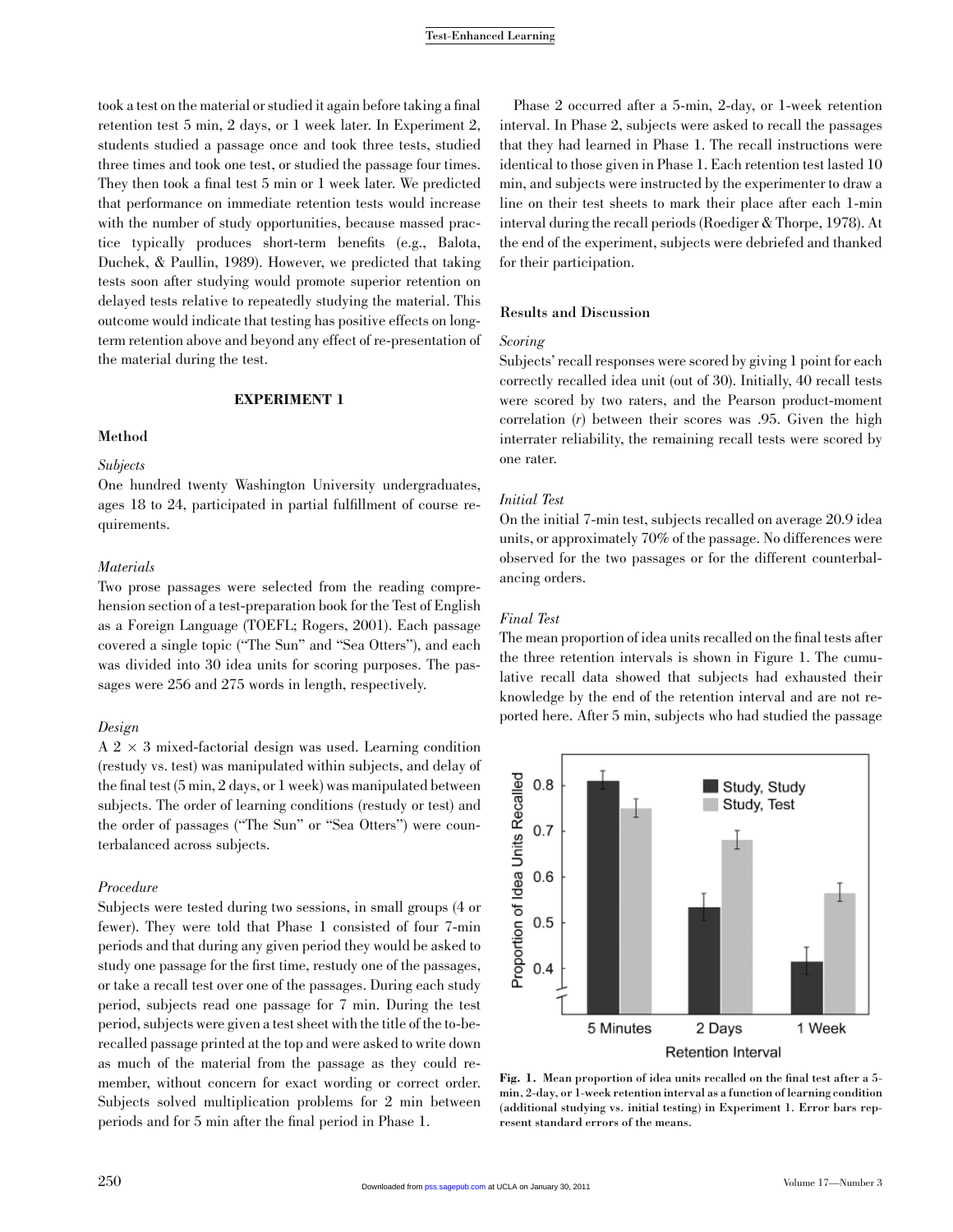took a test on the material or studied it again before taking a final retention test 5 min, 2 days, or 1 week later. In Experiment 2, students studied a passage once and took three tests, studied three times and took one test, or studied the passage four times. They then took a final test 5 min or 1 week later. We predicted that performance on immediate retention tests would increase with the number of study opportunities, because massed practice typically produces short-term benefits (e.g., Balota, Duchek, & Paullin, 1989). However, we predicted that taking tests soon after studying would promote superior retention on delayed tests relative to repeatedly studying the material. This outcome would indicate that testing has positive effects on longterm retention above and beyond any effect of re-presentation of the material during the test.

#### EXPERIMENT 1

# **Method**

#### **Subjects**

One hundred twenty Washington University undergraduates, ages 18 to 24, participated in partial fulfillment of course requirements.

#### **Materials**

Two prose passages were selected from the reading comprehension section of a test-preparation book for the Test of English as a Foreign Language (TOEFL; Rogers, 2001). Each passage covered a single topic (''The Sun'' and ''Sea Otters''), and each was divided into 30 idea units for scoring purposes. The passages were 256 and 275 words in length, respectively.

# Design

 $A$  2  $\times$  3 mixed-factorial design was used. Learning condition (restudy vs. test) was manipulated within subjects, and delay of the final test (5 min, 2 days, or 1 week) was manipulated between subjects. The order of learning conditions (restudy or test) and the order of passages (''The Sun'' or ''Sea Otters'') were counterbalanced across subjects.

# Procedure

Subjects were tested during two sessions, in small groups (4 or fewer). They were told that Phase 1 consisted of four 7-min periods and that during any given period they would be asked to study one passage for the first time, restudy one of the passages, or take a recall test over one of the passages. During each study period, subjects read one passage for 7 min. During the test period, subjects were given a test sheet with the title of the to-berecalled passage printed at the top and were asked to write down as much of the material from the passage as they could remember, without concern for exact wording or correct order. Subjects solved multiplication problems for 2 min between periods and for 5 min after the final period in Phase 1.

Phase 2 occurred after a 5-min, 2-day, or 1-week retention interval. In Phase 2, subjects were asked to recall the passages that they had learned in Phase 1. The recall instructions were identical to those given in Phase 1. Each retention test lasted 10 min, and subjects were instructed by the experimenter to draw a line on their test sheets to mark their place after each 1-min interval during the recall periods (Roediger & Thorpe, 1978). At the end of the experiment, subjects were debriefed and thanked for their participation.

# Results and Discussion

# Scoring

Subjects' recall responses were scored by giving 1 point for each correctly recalled idea unit (out of 30). Initially, 40 recall tests were scored by two raters, and the Pearson product-moment correlation (r) between their scores was .95. Given the high interrater reliability, the remaining recall tests were scored by one rater.

## Initial Test

On the initial 7-min test, subjects recalled on average 20.9 idea units, or approximately 70% of the passage. No differences were observed for the two passages or for the different counterbalancing orders.

#### Final Test

The mean proportion of idea units recalled on the final tests after the three retention intervals is shown in Figure 1. The cumulative recall data showed that subjects had exhausted their knowledge by the end of the retention interval and are not reported here. After 5 min, subjects who had studied the passage



Fig. 1. Mean proportion of idea units recalled on the final test after a 5 min, 2-day, or 1-week retention interval as a function of learning condition (additional studying vs. initial testing) in Experiment 1. Error bars represent standard errors of the means.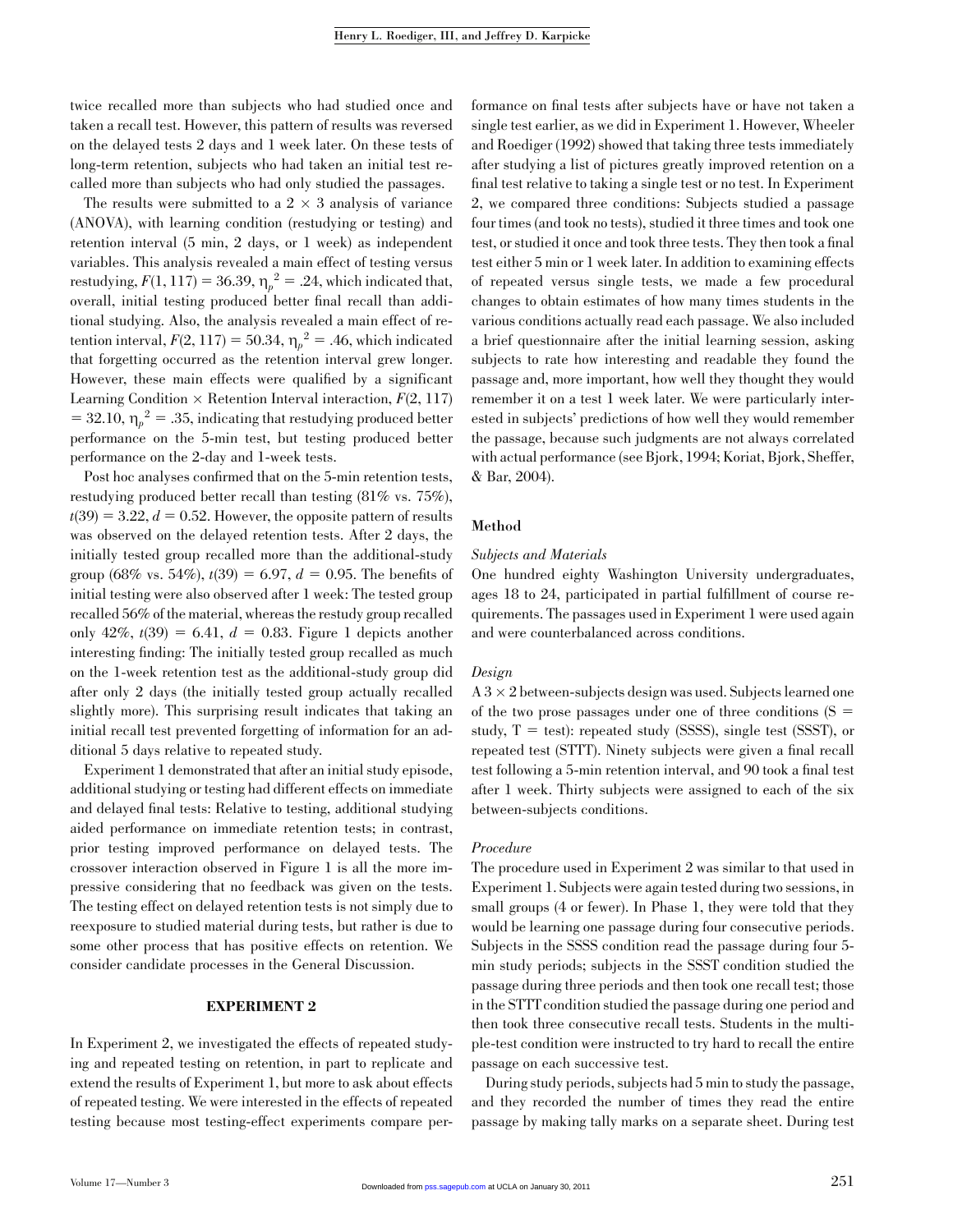twice recalled more than subjects who had studied once and taken a recall test. However, this pattern of results was reversed on the delayed tests 2 days and 1 week later. On these tests of long-term retention, subjects who had taken an initial test recalled more than subjects who had only studied the passages.

The results were submitted to a  $2 \times 3$  analysis of variance (ANOVA), with learning condition (restudying or testing) and retention interval (5 min, 2 days, or 1 week) as independent variables. This analysis revealed a main effect of testing versus restudying,  $F(1, 117) = 36.39$ ,  $\eta_p^2 = .24$ , which indicated that, overall, initial testing produced better final recall than additional studying. Also, the analysis revealed a main effect of retention interval,  $F(2, 117) = 50.34$ ,  $\eta_p^2 = .46$ , which indicated that forgetting occurred as the retention interval grew longer. However, these main effects were qualified by a significant Learning Condition  $\times$  Retention Interval interaction,  $F(2, 117)$  $=$  32.10,  $\eta_p^2 = .35$ , indicating that restudying produced better performance on the 5-min test, but testing produced better performance on the 2-day and 1-week tests.

Post hoc analyses confirmed that on the 5-min retention tests, restudying produced better recall than testing (81% vs. 75%),  $t(39) = 3.22, d = 0.52$ . However, the opposite pattern of results was observed on the delayed retention tests. After 2 days, the initially tested group recalled more than the additional-study group (68% vs. 54%),  $t(39) = 6.97$ ,  $d = 0.95$ . The benefits of initial testing were also observed after 1 week: The tested group recalled 56% of the material, whereas the restudy group recalled only 42%,  $t(39) = 6.41$ ,  $d = 0.83$ . Figure 1 depicts another interesting finding: The initially tested group recalled as much on the 1-week retention test as the additional-study group did after only 2 days (the initially tested group actually recalled slightly more). This surprising result indicates that taking an initial recall test prevented forgetting of information for an additional 5 days relative to repeated study.

Experiment 1 demonstrated that after an initial study episode, additional studying or testing had different effects on immediate and delayed final tests: Relative to testing, additional studying aided performance on immediate retention tests; in contrast, prior testing improved performance on delayed tests. The crossover interaction observed in Figure 1 is all the more impressive considering that no feedback was given on the tests. The testing effect on delayed retention tests is not simply due to reexposure to studied material during tests, but rather is due to some other process that has positive effects on retention. We consider candidate processes in the General Discussion.

#### EXPERIMENT 2

In Experiment 2, we investigated the effects of repeated studying and repeated testing on retention, in part to replicate and extend the results of Experiment 1, but more to ask about effects of repeated testing. We were interested in the effects of repeated testing because most testing-effect experiments compare per-

formance on final tests after subjects have or have not taken a single test earlier, as we did in Experiment 1. However, Wheeler and Roediger (1992) showed that taking three tests immediately after studying a list of pictures greatly improved retention on a final test relative to taking a single test or no test. In Experiment 2, we compared three conditions: Subjects studied a passage four times (and took no tests), studied it three times and took one test, or studied it once and took three tests. They then took a final test either 5 min or 1 week later. In addition to examining effects of repeated versus single tests, we made a few procedural changes to obtain estimates of how many times students in the various conditions actually read each passage. We also included a brief questionnaire after the initial learning session, asking subjects to rate how interesting and readable they found the passage and, more important, how well they thought they would remember it on a test 1 week later. We were particularly interested in subjects' predictions of how well they would remember the passage, because such judgments are not always correlated with actual performance (see Bjork, 1994; Koriat, Bjork, Sheffer, & Bar, 2004).

#### Method

#### Subjects and Materials

One hundred eighty Washington University undergraduates, ages 18 to 24, participated in partial fulfillment of course requirements. The passages used in Experiment 1 were used again and were counterbalanced across conditions.

#### Design

 $A$   $3 \times 2$  between-subjects design was used. Subjects learned one of the two prose passages under one of three conditions  $(S =$ study,  $T = test$ : repeated study (SSSS), single test (SSST), or repeated test (STTT). Ninety subjects were given a final recall test following a 5-min retention interval, and 90 took a final test after 1 week. Thirty subjects were assigned to each of the six between-subjects conditions.

#### Procedure

The procedure used in Experiment 2 was similar to that used in Experiment 1. Subjects were again tested during two sessions, in small groups (4 or fewer). In Phase 1, they were told that they would be learning one passage during four consecutive periods. Subjects in the SSSS condition read the passage during four 5 min study periods; subjects in the SSST condition studied the passage during three periods and then took one recall test; those in the STTT condition studied the passage during one period and then took three consecutive recall tests. Students in the multiple-test condition were instructed to try hard to recall the entire passage on each successive test.

During study periods, subjects had 5 min to study the passage, and they recorded the number of times they read the entire passage by making tally marks on a separate sheet. During test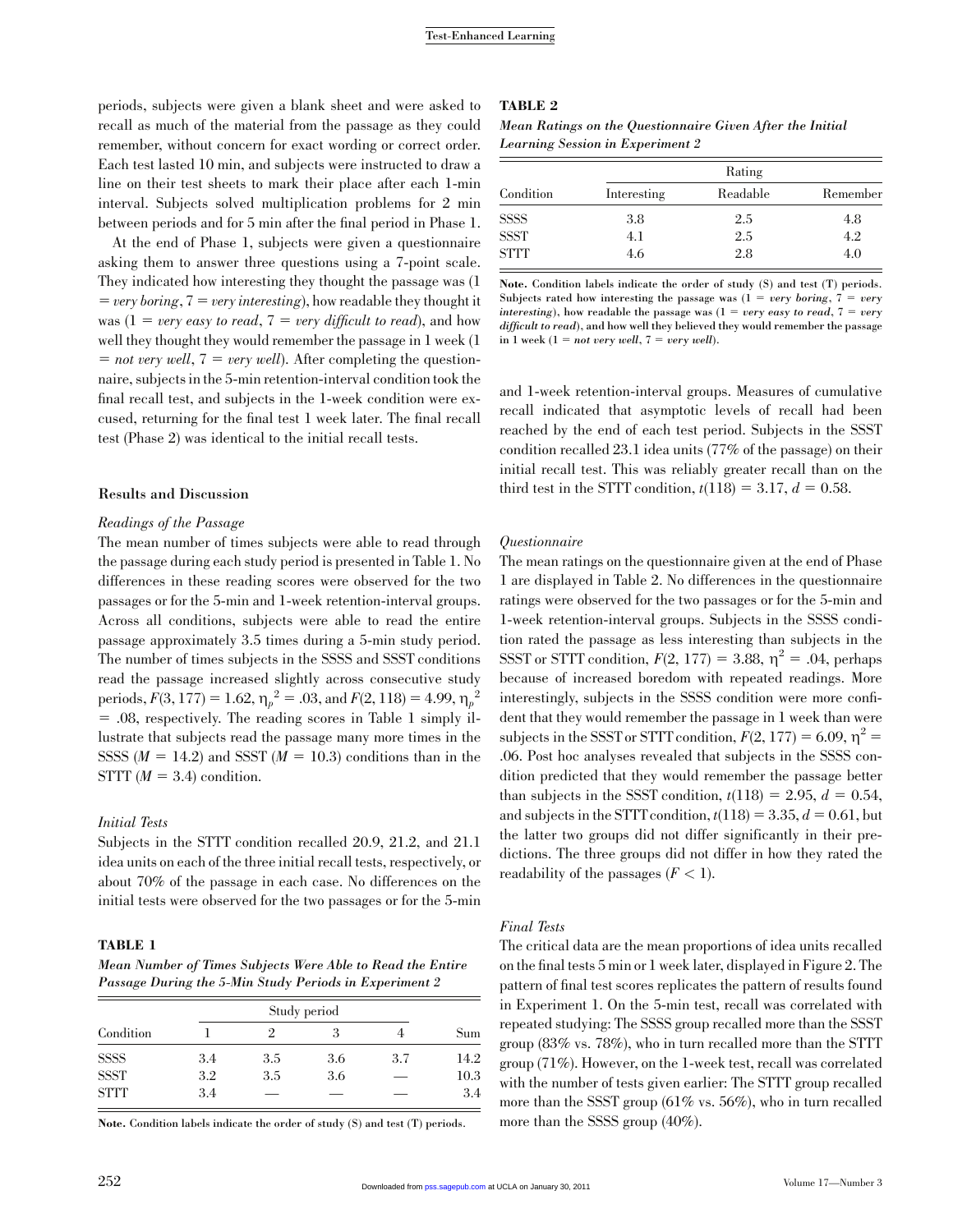periods, subjects were given a blank sheet and were asked to recall as much of the material from the passage as they could remember, without concern for exact wording or correct order. Each test lasted 10 min, and subjects were instructed to draw a line on their test sheets to mark their place after each 1-min interval. Subjects solved multiplication problems for 2 min between periods and for 5 min after the final period in Phase 1.

At the end of Phase 1, subjects were given a questionnaire asking them to answer three questions using a 7-point scale. They indicated how interesting they thought the passage was (1  $=$  very boring,  $7 =$  very interesting), how readable they thought it was  $(1 = v$ ery easy to read,  $7 = v$ ery difficult to read), and how well they thought they would remember the passage in 1 week (1  $=$  not very well,  $7 =$  very well). After completing the questionnaire, subjects in the 5-min retention-interval condition took the final recall test, and subjects in the 1-week condition were excused, returning for the final test 1 week later. The final recall test (Phase 2) was identical to the initial recall tests.

#### Results and Discussion

# Readings of the Passage

The mean number of times subjects were able to read through the passage during each study period is presented in Table 1. No differences in these reading scores were observed for the two passages or for the 5-min and 1-week retention-interval groups. Across all conditions, subjects were able to read the entire passage approximately 3.5 times during a 5-min study period. The number of times subjects in the SSSS and SSST conditions read the passage increased slightly across consecutive study periods,  $F(3, 177) = 1.62$ ,  $\eta_p^2 = .03$ , and  $F(2, 118) = 4.99$ ,  $\eta_p^2$ 5 .08, respectively. The reading scores in Table 1 simply illustrate that subjects read the passage many more times in the SSSS  $(M = 14.2)$  and SSST  $(M = 10.3)$  conditions than in the STTT  $(M = 3.4)$  condition.

#### Initial Tests

Subjects in the STTT condition recalled 20.9, 21.2, and 21.1 idea units on each of the three initial recall tests, respectively, or about 70% of the passage in each case. No differences on the initial tests were observed for the two passages or for the 5-min

#### TABLE 1

Mean Number of Times Subjects Were Able to Read the Entire Passage During the 5-Min Study Periods in Experiment 2

| Condition   |     | 2   | 3   |     | Sum  |
|-------------|-----|-----|-----|-----|------|
| <b>SSSS</b> | 3.4 | 3.5 | 3.6 | 3.7 | 14.2 |
| <b>SSST</b> | 3.2 | 3.5 | 3.6 |     | 10.3 |
| <b>STTT</b> | 3.4 | _   |     |     | 3.4  |

Note. Condition labels indicate the order of study (S) and test (T) periods.

#### TABLE 2

|  | Mean Ratings on the Questionnaire Given After the Initial |  |  |  |
|--|-----------------------------------------------------------|--|--|--|
|  | Learning Session in Experiment 2                          |  |  |  |

| Condition   | Interesting | Readable | Remember |
|-------------|-------------|----------|----------|
| <b>SSSS</b> | 3.8         | 2.5      | 4.8      |
| <b>SSST</b> | 4.1         | 2.5      | 4.2      |
| <b>STTT</b> | 4.6         | 2.8      | 4.0      |

Note. Condition labels indicate the order of study (S) and test (T) periods. Subjects rated how interesting the passage was  $(1 = very\ boring, 7 = very$ interesting), how readable the passage was  $(1 = very\ easy\ to\ read, 7 = very\ ...)$ difficult to read), and how well they believed they would remember the passage in 1 week  $(1 = not very well, 7 = very well).$ 

and 1-week retention-interval groups. Measures of cumulative recall indicated that asymptotic levels of recall had been reached by the end of each test period. Subjects in the SSST condition recalled 23.1 idea units (77% of the passage) on their initial recall test. This was reliably greater recall than on the third test in the STTT condition,  $t(118) = 3.17$ ,  $d = 0.58$ .

#### Questionnaire

The mean ratings on the questionnaire given at the end of Phase 1 are displayed in Table 2. No differences in the questionnaire ratings were observed for the two passages or for the 5-min and 1-week retention-interval groups. Subjects in the SSSS condition rated the passage as less interesting than subjects in the SSST or STTT condition,  $F(2, 177) = 3.88$ ,  $\eta^2 = .04$ , perhaps because of increased boredom with repeated readings. More interestingly, subjects in the SSSS condition were more confident that they would remember the passage in 1 week than were subjects in the SSST or STTT condition,  $F(2, 177) = 6.09$ ,  $\eta^2 =$ .06. Post hoc analyses revealed that subjects in the SSSS condition predicted that they would remember the passage better than subjects in the SSST condition,  $t(118) = 2.95$ ,  $d = 0.54$ , and subjects in the STTT condition,  $t(118) = 3.35$ ,  $d = 0.61$ , but the latter two groups did not differ significantly in their predictions. The three groups did not differ in how they rated the readability of the passages  $(F < 1)$ .

# Final Tests

The critical data are the mean proportions of idea units recalled on the final tests 5 min or 1 week later, displayed in Figure 2. The pattern of final test scores replicates the pattern of results found in Experiment 1. On the 5-min test, recall was correlated with repeated studying: The SSSS group recalled more than the SSST group (83% vs. 78%), who in turn recalled more than the STTT group (71%). However, on the 1-week test, recall was correlated with the number of tests given earlier: The STTT group recalled more than the SSST group (61% vs. 56%), who in turn recalled more than the SSSS group (40%).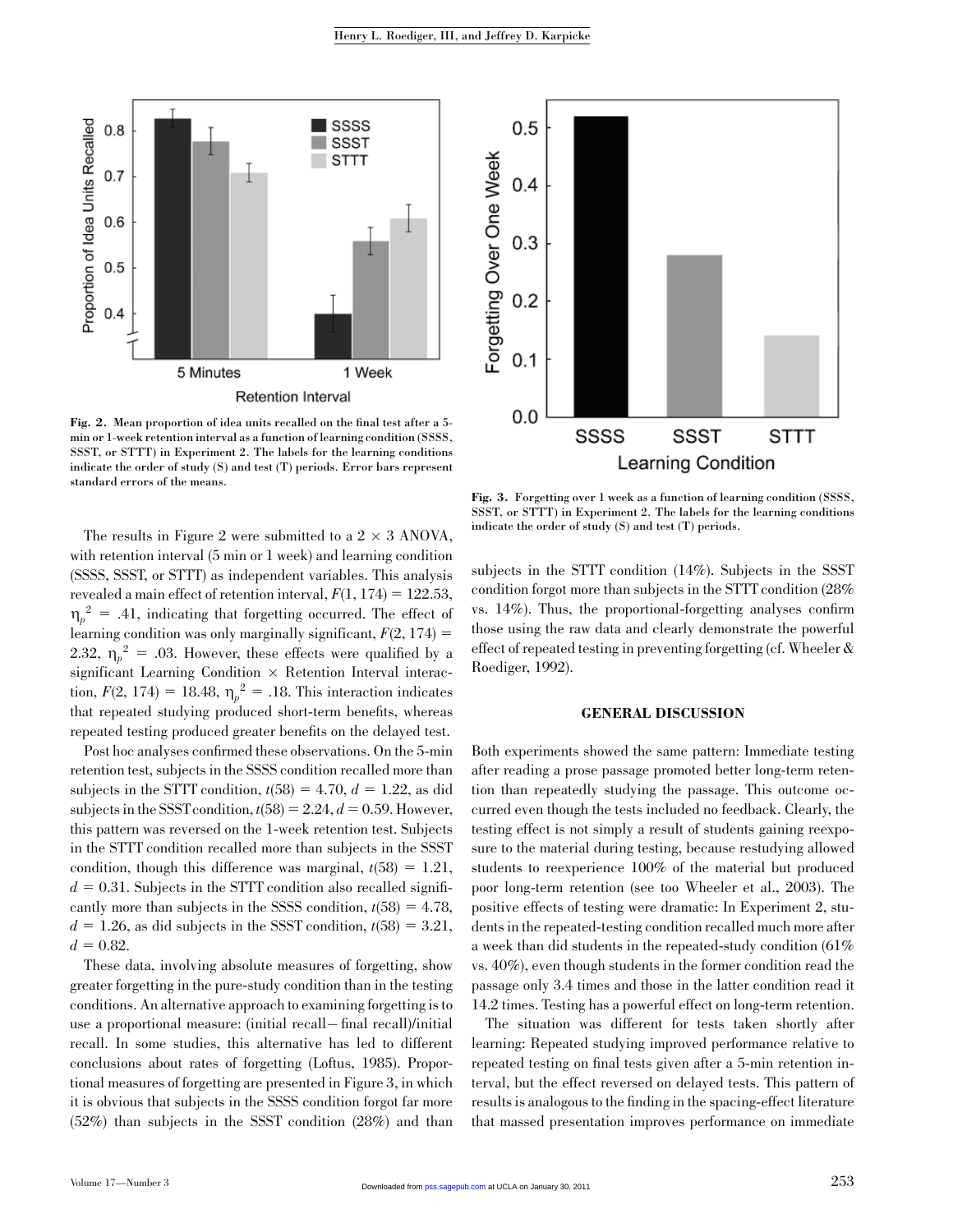

Fig. 2. Mean proportion of idea units recalled on the final test after a 5 min or 1-week retention interval as a function of learning condition (SSSS, SSST, or STTT) in Experiment 2. The labels for the learning conditions indicate the order of study (S) and test (T) periods. Error bars represent standard errors of the means.

The results in Figure 2 were submitted to a  $2 \times 3$  ANOVA, with retention interval (5 min or 1 week) and learning condition (SSSS, SSST, or STTT) as independent variables. This analysis revealed a main effect of retention interval,  $F(1, 174) = 122.53$ ,  $\eta_p^2 = .41$ , indicating that forgetting occurred. The effect of learning condition was only marginally significant,  $F(2, 174) =$ 2.32,  $\eta_p^2 = 0.03$ . However, these effects were qualified by a  ${\rm significant}$  Learning Condition  $\times$  Retention Interval interaction,  $F(2, 174) = 18.48$ ,  $\eta_p^2 = .18$ . This interaction indicates that repeated studying produced short-term benefits, whereas repeated testing produced greater benefits on the delayed test.

Post hoc analyses confirmed these observations. On the 5-min retention test, subjects in the SSSS condition recalled more than subjects in the STTT condition,  $t(58) = 4.70$ ,  $d = 1.22$ , as did subjects in the SSST condition,  $t(58) = 2.24$ ,  $d = 0.59$ . However, this pattern was reversed on the 1-week retention test. Subjects in the STTT condition recalled more than subjects in the SSST condition, though this difference was marginal,  $t(58) = 1.21$ ,  $d = 0.31$ . Subjects in the STTT condition also recalled significantly more than subjects in the SSSS condition,  $t(58) = 4.78$ ,  $d = 1.26$ , as did subjects in the SSST condition,  $t(58) = 3.21$ ,  $d = 0.82$ .

These data, involving absolute measures of forgetting, show greater forgetting in the pure-study condition than in the testing conditions. An alternative approach to examining forgetting is to use a proportional measure: (initial recall-final recall)/initial recall. In some studies, this alternative has led to different conclusions about rates of forgetting (Loftus, 1985). Proportional measures of forgetting are presented in Figure 3, in which it is obvious that subjects in the SSSS condition forgot far more (52%) than subjects in the SSST condition (28%) and than



Fig. 3. Forgetting over 1 week as a function of learning condition (SSSS, SSST, or STTT) in Experiment 2. The labels for the learning conditions indicate the order of study (S) and test (T) periods.

subjects in the STTT condition (14%). Subjects in the SSST condition forgot more than subjects in the STTT condition (28% vs. 14%). Thus, the proportional-forgetting analyses confirm those using the raw data and clearly demonstrate the powerful effect of repeated testing in preventing forgetting (cf. Wheeler & Roediger, 1992).

#### GENERAL DISCUSSION

Both experiments showed the same pattern: Immediate testing after reading a prose passage promoted better long-term retention than repeatedly studying the passage. This outcome occurred even though the tests included no feedback. Clearly, the testing effect is not simply a result of students gaining reexposure to the material during testing, because restudying allowed students to reexperience 100% of the material but produced poor long-term retention (see too Wheeler et al., 2003). The positive effects of testing were dramatic: In Experiment 2, students in the repeated-testing condition recalled much more after a week than did students in the repeated-study condition (61% vs. 40%), even though students in the former condition read the passage only 3.4 times and those in the latter condition read it 14.2 times. Testing has a powerful effect on long-term retention.

The situation was different for tests taken shortly after learning: Repeated studying improved performance relative to repeated testing on final tests given after a 5-min retention interval, but the effect reversed on delayed tests. This pattern of results is analogous to the finding in the spacing-effect literature that massed presentation improves performance on immediate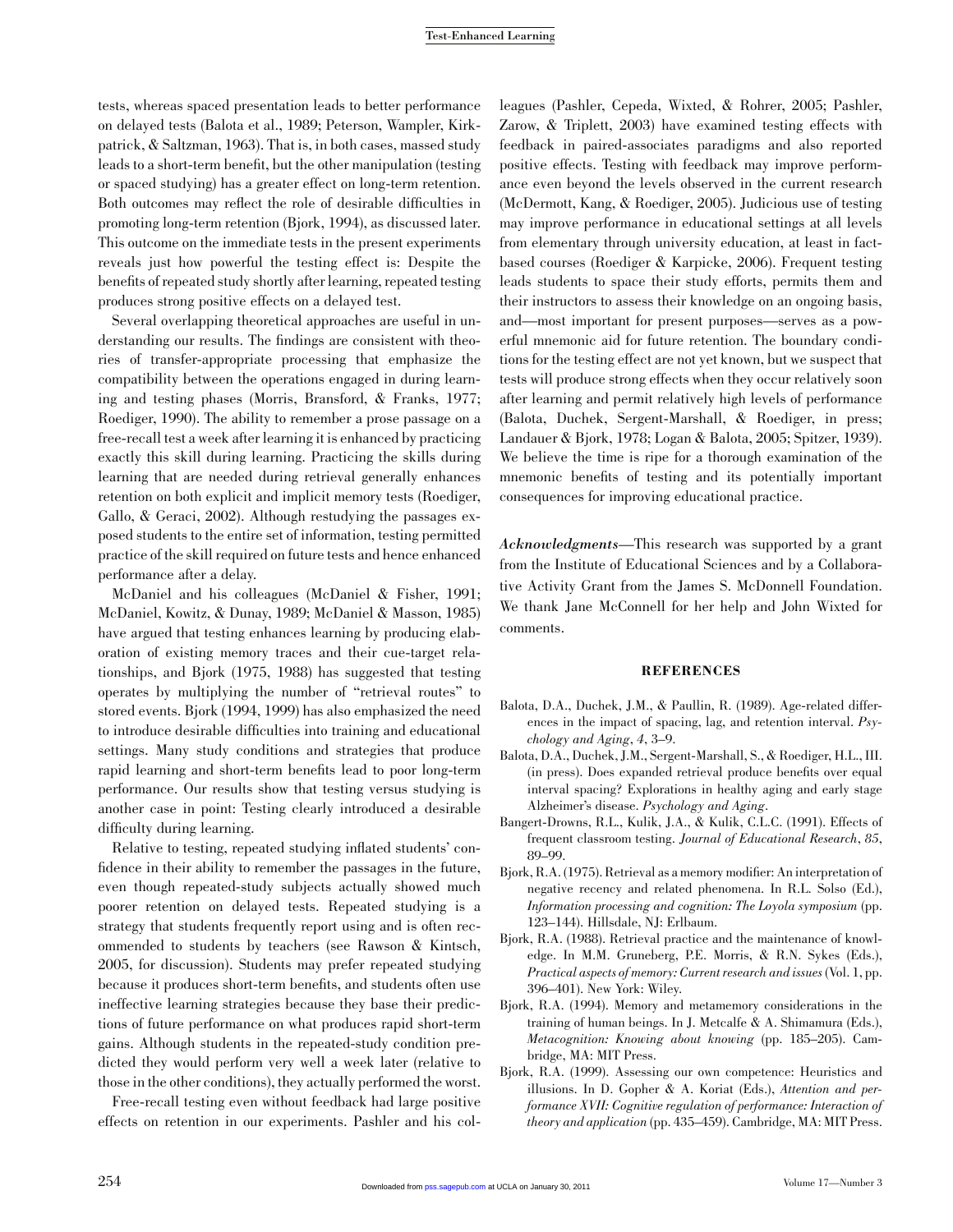tests, whereas spaced presentation leads to better performance on delayed tests (Balota et al., 1989; Peterson, Wampler, Kirkpatrick, & Saltzman, 1963). That is, in both cases, massed study leads to a short-term benefit, but the other manipulation (testing or spaced studying) has a greater effect on long-term retention. Both outcomes may reflect the role of desirable difficulties in promoting long-term retention (Bjork, 1994), as discussed later. This outcome on the immediate tests in the present experiments reveals just how powerful the testing effect is: Despite the benefits of repeated study shortly after learning, repeated testing produces strong positive effects on a delayed test.

Several overlapping theoretical approaches are useful in understanding our results. The findings are consistent with theories of transfer-appropriate processing that emphasize the compatibility between the operations engaged in during learning and testing phases (Morris, Bransford, & Franks, 1977; Roediger, 1990). The ability to remember a prose passage on a free-recall test a week after learning it is enhanced by practicing exactly this skill during learning. Practicing the skills during learning that are needed during retrieval generally enhances retention on both explicit and implicit memory tests (Roediger, Gallo, & Geraci, 2002). Although restudying the passages exposed students to the entire set of information, testing permitted practice of the skill required on future tests and hence enhanced performance after a delay.

McDaniel and his colleagues (McDaniel & Fisher, 1991; McDaniel, Kowitz, & Dunay, 1989; McDaniel & Masson, 1985) have argued that testing enhances learning by producing elaboration of existing memory traces and their cue-target relationships, and Bjork (1975, 1988) has suggested that testing operates by multiplying the number of ''retrieval routes'' to stored events. Bjork (1994, 1999) has also emphasized the need to introduce desirable difficulties into training and educational settings. Many study conditions and strategies that produce rapid learning and short-term benefits lead to poor long-term performance. Our results show that testing versus studying is another case in point: Testing clearly introduced a desirable difficulty during learning.

Relative to testing, repeated studying inflated students' confidence in their ability to remember the passages in the future, even though repeated-study subjects actually showed much poorer retention on delayed tests. Repeated studying is a strategy that students frequently report using and is often recommended to students by teachers (see Rawson & Kintsch, 2005, for discussion). Students may prefer repeated studying because it produces short-term benefits, and students often use ineffective learning strategies because they base their predictions of future performance on what produces rapid short-term gains. Although students in the repeated-study condition predicted they would perform very well a week later (relative to those in the other conditions), they actually performed the worst.

Free-recall testing even without feedback had large positive effects on retention in our experiments. Pashler and his colleagues (Pashler, Cepeda, Wixted, & Rohrer, 2005; Pashler, Zarow, & Triplett, 2003) have examined testing effects with feedback in paired-associates paradigms and also reported positive effects. Testing with feedback may improve performance even beyond the levels observed in the current research (McDermott, Kang, & Roediger, 2005). Judicious use of testing may improve performance in educational settings at all levels from elementary through university education, at least in factbased courses (Roediger & Karpicke, 2006). Frequent testing leads students to space their study efforts, permits them and their instructors to assess their knowledge on an ongoing basis, and—most important for present purposes—serves as a powerful mnemonic aid for future retention. The boundary conditions for the testing effect are not yet known, but we suspect that tests will produce strong effects when they occur relatively soon after learning and permit relatively high levels of performance (Balota, Duchek, Sergent-Marshall, & Roediger, in press; Landauer & Bjork, 1978; Logan & Balota, 2005; Spitzer, 1939). We believe the time is ripe for a thorough examination of the mnemonic benefits of testing and its potentially important consequences for improving educational practice.

Acknowledgments—This research was supported by a grant from the Institute of Educational Sciences and by a Collaborative Activity Grant from the James S. McDonnell Foundation. We thank Jane McConnell for her help and John Wixted for comments.

#### REFERENCES

- Balota, D.A., Duchek, J.M., & Paullin, R. (1989). Age-related differences in the impact of spacing, lag, and retention interval. Psychology and Aging, 4, 3–9.
- Balota, D.A., Duchek, J.M., Sergent-Marshall, S., & Roediger, H.L., III. (in press). Does expanded retrieval produce benefits over equal interval spacing? Explorations in healthy aging and early stage Alzheimer's disease. Psychology and Aging.
- Bangert-Drowns, R.L., Kulik, J.A., & Kulik, C.L.C. (1991). Effects of frequent classroom testing. Journal of Educational Research, 85, 89–99.
- Bjork, R.A. (1975). Retrieval as a memory modifier: An interpretation of negative recency and related phenomena. In R.L. Solso (Ed.), Information processing and cognition: The Loyola symposium (pp. 123–144). Hillsdale, NJ: Erlbaum.
- Bjork, R.A. (1988). Retrieval practice and the maintenance of knowledge. In M.M. Gruneberg, P.E. Morris, & R.N. Sykes (Eds.), Practical aspects of memory: Current research and issues (Vol. 1, pp. 396–401). New York: Wiley.
- Bjork, R.A. (1994). Memory and metamemory considerations in the training of human beings. In J. Metcalfe & A. Shimamura (Eds.), Metacognition: Knowing about knowing (pp. 185–205). Cambridge, MA: MIT Press.
- Bjork, R.A. (1999). Assessing our own competence: Heuristics and illusions. In D. Gopher & A. Koriat (Eds.), Attention and performance XVII: Cognitive regulation of performance: Interaction of theory and application (pp. 435–459). Cambridge, MA: MIT Press.